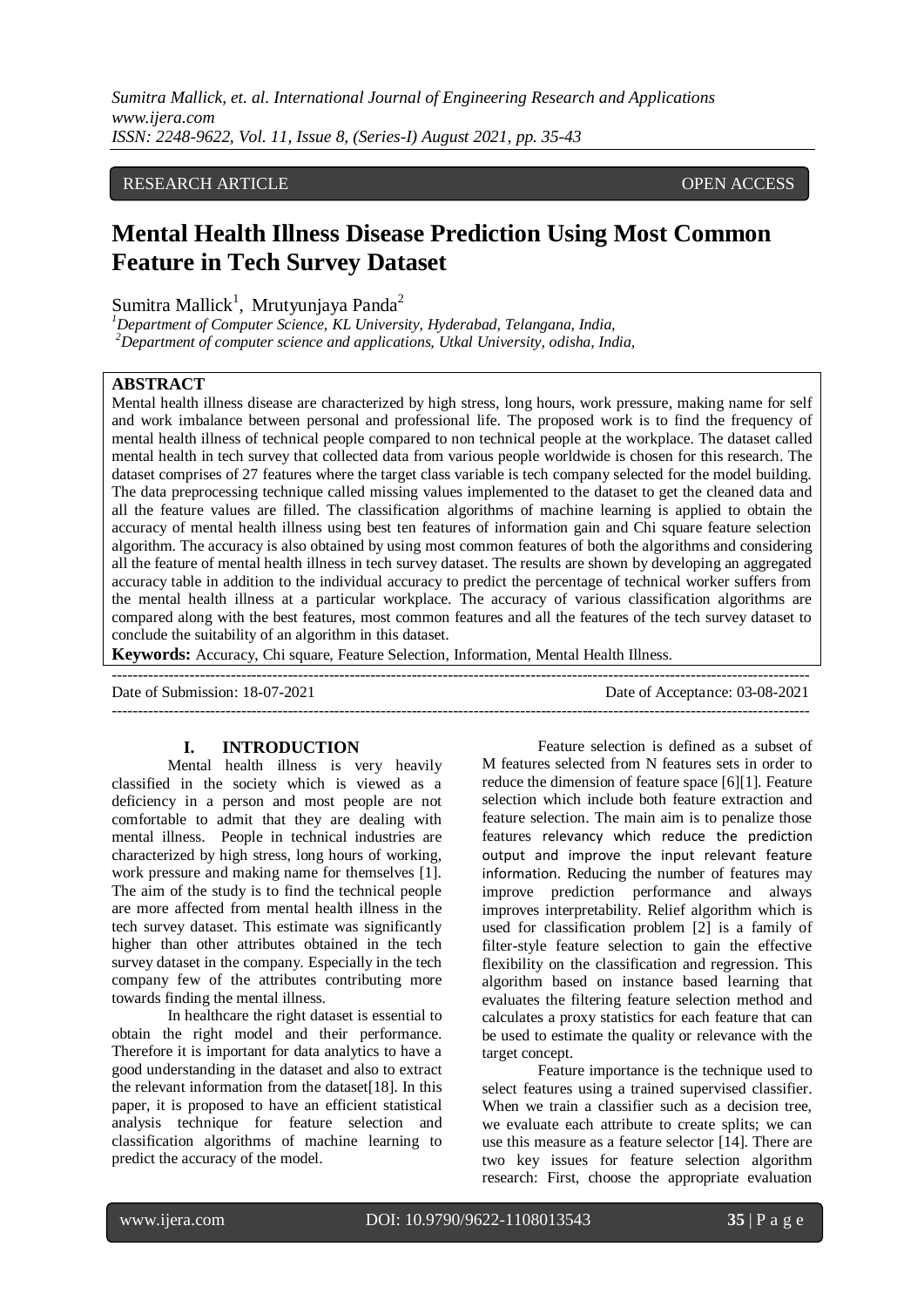*Sumitra Mallick, et. al. International Journal of Engineering Research and Applications www.ijera.com ISSN: 2248-9622, Vol. 11, Issue 8, (Series-I) August 2021, pp. 35-43*

## RESEARCH ARTICLE **OPEN ACCESS**

# **Mental Health Illness Disease Prediction Using Most Common Feature in Tech Survey Dataset**

Sumitra Mallick<sup>1</sup>, Mrutyunjaya Panda<sup>2</sup>

*<sup>1</sup>Department of Computer Science, KL University, Hyderabad, Telangana, India, <sup>2</sup>Department of computer science and applications, Utkal University, odisha, India,*

# **ABSTRACT**

Mental health illness disease are characterized by high stress, long hours, work pressure, making name for self and work imbalance between personal and professional life. The proposed work is to find the frequency of mental health illness of technical people compared to non technical people at the workplace. The dataset called mental health in tech survey that collected data from various people worldwide is chosen for this research. The dataset comprises of 27 features where the target class variable is tech company selected for the model building. The data preprocessing technique called missing values implemented to the dataset to get the cleaned data and all the feature values are filled. The classification algorithms of machine learning is applied to obtain the accuracy of mental health illness using best ten features of information gain and Chi square feature selection algorithm. The accuracy is also obtained by using most common features of both the algorithms and considering all the feature of mental health illness in tech survey dataset. The results are shown by developing an aggregated accuracy table in addition to the individual accuracy to predict the percentage of technical worker suffers from the mental health illness at a particular workplace. The accuracy of various classification algorithms are compared along with the best features, most common features and all the features of the tech survey dataset to conclude the suitability of an algorithm in this dataset.

**Keywords:** Accuracy, Chi square, Feature Selection, Information, Mental Health Illness.

Date of Submission: 18-07-2021 Date of Acceptance: 03-08-2021

---------------------------------------------------------------------------------------------------------------------------------------

---------------------------------------------------------------------------------------------------------------------------------------

#### **I. INTRODUCTION**

Mental health illness is very heavily classified in the society which is viewed as a deficiency in a person and most people are not comfortable to admit that they are dealing with mental illness. People in technical industries are characterized by high stress, long hours of working, work pressure and making name for themselves [1]. The aim of the study is to find the technical people are more affected from mental health illness in the tech survey dataset. This estimate was significantly higher than other attributes obtained in the tech survey dataset in the company. Especially in the tech company few of the attributes contributing more towards finding the mental illness.

In healthcare the right dataset is essential to obtain the right model and their performance. Therefore it is important for data analytics to have a good understanding in the dataset and also to extract the relevant information from the dataset[18]. In this paper, it is proposed to have an efficient statistical analysis technique for feature selection and classification algorithms of machine learning to predict the accuracy of the model.

Feature selection is defined as a subset of M features selected from N features sets in order to reduce the dimension of feature space [6][1]. Feature selection which include both feature extraction and feature selection. The main aim is to penalize those features relevancy which reduce the prediction output and improve the input relevant feature information. Reducing the number of features may improve prediction performance and always improves interpretability. Relief algorithm which is used for classification problem [2] is a family of filter-style feature selection to gain the effective flexibility on the classification and regression. This algorithm based on instance based learning that evaluates the filtering feature selection method and calculates a proxy statistics for each feature that can be used to estimate the quality or relevance with the target concept.

Feature importance is the technique used to select features using a trained supervised classifier. When we train a classifier such as a decision tree, we evaluate each attribute to create splits; we can use this measure as a feature selector [14]. There are two key issues for feature selection algorithm research: First, choose the appropriate evaluation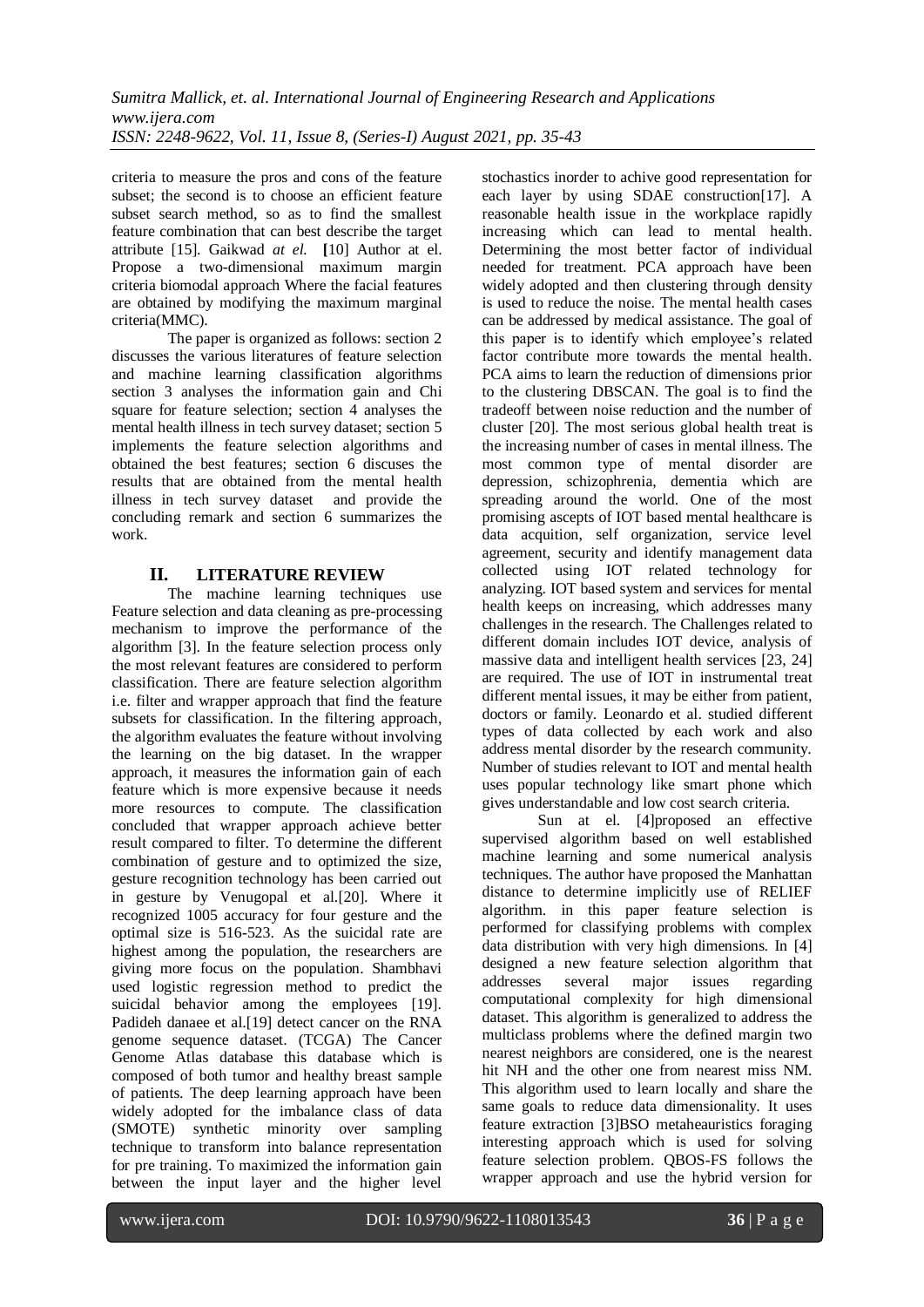criteria to measure the pros and cons of the feature subset; the second is to choose an efficient feature subset search method, so as to find the smallest feature combination that can best describe the target attribute [15]. Gaikwad *at el.* **[**10] Author at el. Propose a two-dimensional maximum margin criteria biomodal approach Where the facial features are obtained by modifying the maximum marginal criteria(MMC).

The paper is organized as follows: section 2 discusses the various literatures of feature selection and machine learning classification algorithms section 3 analyses the information gain and Chi square for feature selection; section 4 analyses the mental health illness in tech survey dataset; section 5 implements the feature selection algorithms and obtained the best features; section 6 discuses the results that are obtained from the mental health illness in tech survey dataset and provide the concluding remark and section 6 summarizes the work.

# **II. LITERATURE REVIEW**

The machine learning techniques use Feature selection and data cleaning as pre-processing mechanism to improve the performance of the algorithm [3]. In the feature selection process only the most relevant features are considered to perform classification. There are feature selection algorithm i.e. filter and wrapper approach that find the feature subsets for classification. In the filtering approach, the algorithm evaluates the feature without involving the learning on the big dataset. In the wrapper approach, it measures the information gain of each feature which is more expensive because it needs more resources to compute. The classification concluded that wrapper approach achieve better result compared to filter. To determine the different combination of gesture and to optimized the size, gesture recognition technology has been carried out in gesture by Venugopal et al.[20]. Where it recognized 1005 accuracy for four gesture and the optimal size is 516-523. As the suicidal rate are highest among the population, the researchers are giving more focus on the population. Shambhavi used logistic regression method to predict the suicidal behavior among the employees [19]. Padideh danaee et al.[19] detect cancer on the RNA genome sequence dataset. (TCGA) The Cancer Genome Atlas database this database which is composed of both tumor and healthy breast sample of patients. The deep learning approach have been widely adopted for the imbalance class of data (SMOTE) synthetic minority over sampling technique to transform into balance representation for pre training. To maximized the information gain between the input layer and the higher level

stochastics inorder to achive good representation for each layer by using SDAE construction[17]. A reasonable health issue in the workplace rapidly increasing which can lead to mental health. Determining the most better factor of individual needed for treatment. PCA approach have been widely adopted and then clustering through density is used to reduce the noise. The mental health cases can be addressed by medical assistance. The goal of this paper is to identify which employee's related factor contribute more towards the mental health. PCA aims to learn the reduction of dimensions prior to the clustering DBSCAN. The goal is to find the tradeoff between noise reduction and the number of cluster [20]. The most serious global health treat is the increasing number of cases in mental illness. The most common type of mental disorder are depression, schizophrenia, dementia which are spreading around the world. One of the most promising ascepts of IOT based mental healthcare is data acquition, self organization, service level agreement, security and identify management data collected using IOT related technology for analyzing. IOT based system and services for mental health keeps on increasing, which addresses many challenges in the research. The Challenges related to different domain includes IOT device, analysis of massive data and intelligent health services [23, 24] are required. The use of IOT in instrumental treat different mental issues, it may be either from patient, doctors or family. Leonardo et al. studied different types of data collected by each work and also address mental disorder by the research community. Number of studies relevant to IOT and mental health uses popular technology like smart phone which gives understandable and low cost search criteria.

Sun at el. [4]proposed an effective supervised algorithm based on well established machine learning and some numerical analysis techniques. The author have proposed the Manhattan distance to determine implicitly use of RELIEF algorithm. in this paper feature selection is performed for classifying problems with complex data distribution with very high dimensions. In [4] designed a new feature selection algorithm that addresses several major issues regarding computational complexity for high dimensional dataset. This algorithm is generalized to address the multiclass problems where the defined margin two nearest neighbors are considered, one is the nearest hit NH and the other one from nearest miss NM. This algorithm used to learn locally and share the same goals to reduce data dimensionality. It uses feature extraction [3]BSO metaheauristics foraging interesting approach which is used for solving feature selection problem. QBOS-FS follows the wrapper approach and use the hybrid version for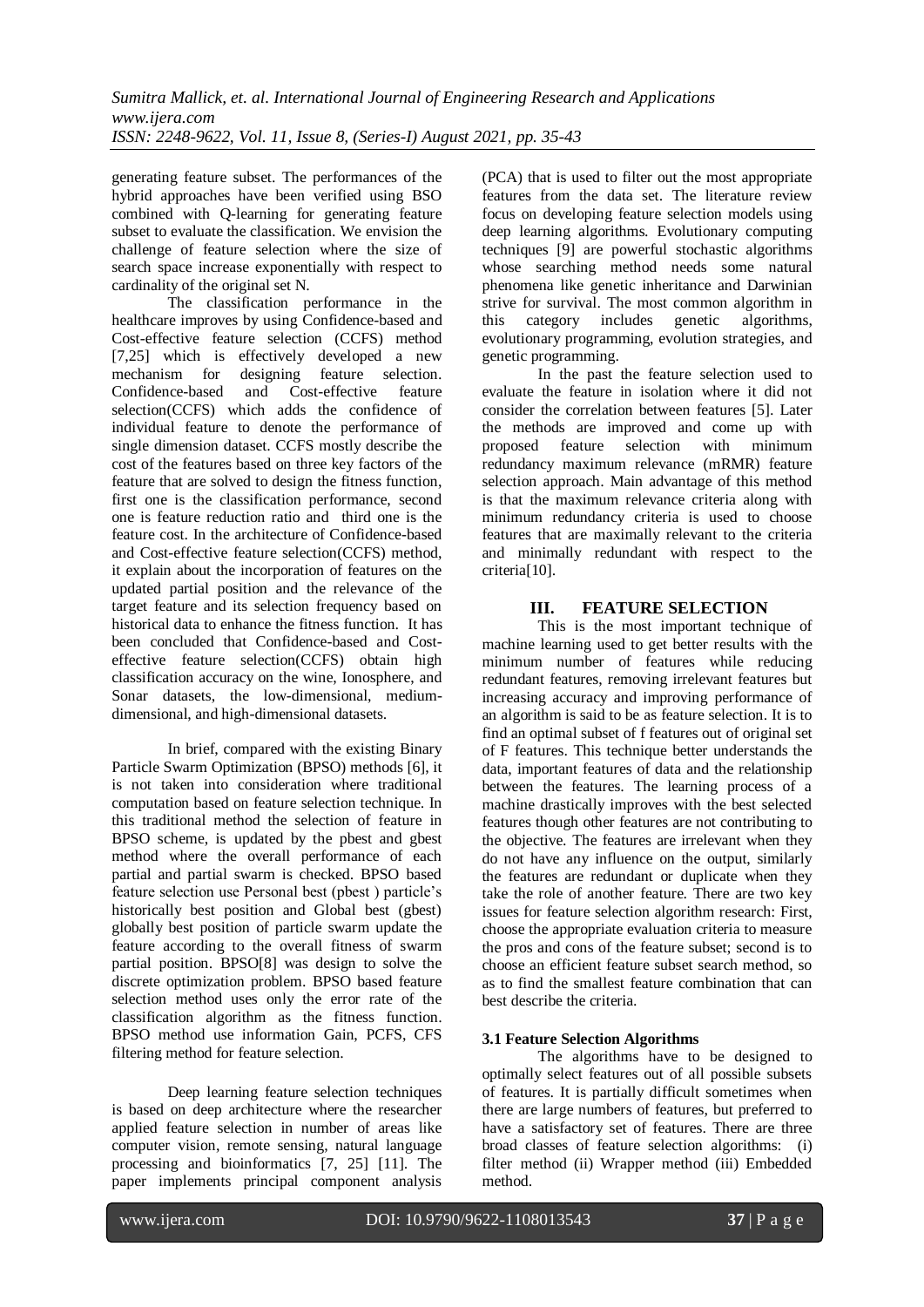generating feature subset. The performances of the hybrid approaches have been verified using BSO combined with Q-learning for generating feature subset to evaluate the classification. We envision the challenge of feature selection where the size of search space increase exponentially with respect to cardinality of the original set N.

The classification performance in the healthcare improves by using Confidence-based and Cost-effective feature selection (CCFS) method [7,25] which is effectively developed a new mechanism for designing feature selection. Confidence-based and Cost-effective feature selection(CCFS) which adds the confidence of individual feature to denote the performance of single dimension dataset. CCFS mostly describe the cost of the features based on three key factors of the feature that are solved to design the fitness function, first one is the classification performance, second one is feature reduction ratio and third one is the feature cost. In the architecture of Confidence-based and Cost-effective feature selection(CCFS) method, it explain about the incorporation of features on the updated partial position and the relevance of the target feature and its selection frequency based on historical data to enhance the fitness function. It has been concluded that Confidence-based and Costeffective feature selection(CCFS) obtain high classification accuracy on the wine, Ionosphere, and Sonar datasets, the low-dimensional, mediumdimensional, and high-dimensional datasets.

In brief, compared with the existing Binary Particle Swarm Optimization (BPSO) methods [6], it is not taken into consideration where traditional computation based on feature selection technique. In this traditional method the selection of feature in BPSO scheme, is updated by the pbest and gbest method where the overall performance of each partial and partial swarm is checked. BPSO based feature selection use Personal best (pbest ) particle's historically best position and Global best (gbest) globally best position of particle swarm update the feature according to the overall fitness of swarm partial position. BPSO[8] was design to solve the discrete optimization problem. BPSO based feature selection method uses only the error rate of the classification algorithm as the fitness function. BPSO method use information Gain, PCFS, CFS filtering method for feature selection.

Deep learning feature selection techniques is based on deep architecture where the researcher applied feature selection in number of areas like computer vision, remote sensing, natural language processing and bioinformatics [7, 25] [11]. The paper implements principal component analysis

(PCA) that is used to filter out the most appropriate features from the data set. The literature review focus on developing feature selection models using deep learning algorithms. Evolutionary computing techniques [9] are powerful stochastic algorithms whose searching method needs some natural phenomena like genetic inheritance and Darwinian strive for survival. The most common algorithm in this category includes genetic algorithms, evolutionary programming, evolution strategies, and genetic programming.

In the past the feature selection used to evaluate the feature in isolation where it did not consider the correlation between features [5]. Later the methods are improved and come up with proposed feature selection with minimum redundancy maximum relevance (mRMR) feature selection approach. Main advantage of this method is that the maximum relevance criteria along with minimum redundancy criteria is used to choose features that are maximally relevant to the criteria and minimally redundant with respect to the criteria<sup>[10]</sup>.

## **III. FEATURE SELECTION**

This is the most important technique of machine learning used to get better results with the minimum number of features while reducing redundant features, removing irrelevant features but increasing accuracy and improving performance of an algorithm is said to be as feature selection. It is to find an optimal subset of f features out of original set of F features. This technique better understands the data, important features of data and the relationship between the features. The learning process of a machine drastically improves with the best selected features though other features are not contributing to the objective. The features are irrelevant when they do not have any influence on the output, similarly the features are redundant or duplicate when they take the role of another feature. There are two key issues for feature selection algorithm research: First, choose the appropriate evaluation criteria to measure the pros and cons of the feature subset; second is to choose an efficient feature subset search method, so as to find the smallest feature combination that can best describe the criteria.

#### **3.1 Feature Selection Algorithms**

The algorithms have to be designed to optimally select features out of all possible subsets of features. It is partially difficult sometimes when there are large numbers of features, but preferred to have a satisfactory set of features. There are three broad classes of feature selection algorithms: (i) filter method (ii) Wrapper method (iii) Embedded method.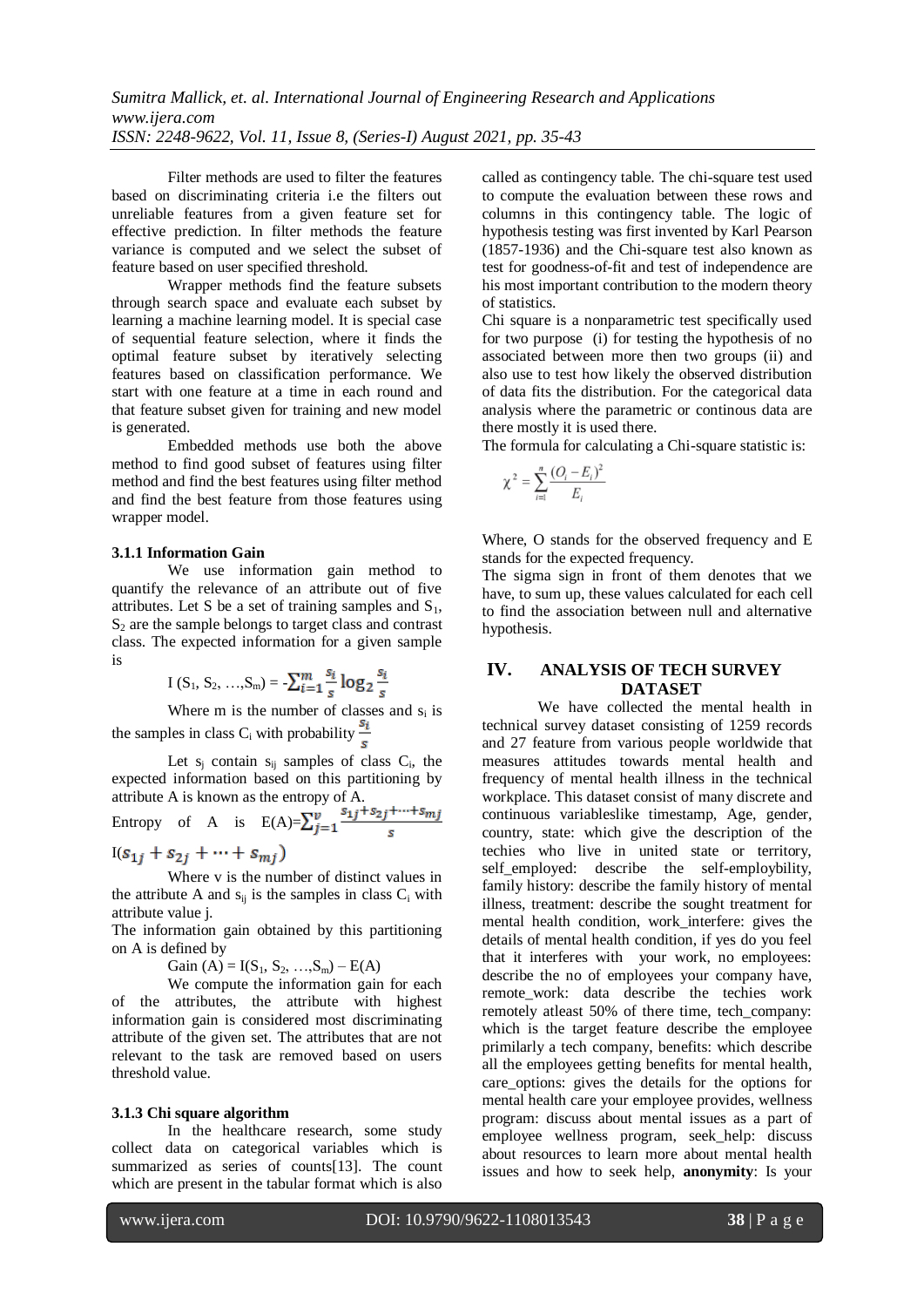Filter methods are used to filter the features based on discriminating criteria i.e the filters out unreliable features from a given feature set for effective prediction. In filter methods the feature variance is computed and we select the subset of feature based on user specified threshold.

Wrapper methods find the feature subsets through search space and evaluate each subset by learning a machine learning model. It is special case of sequential feature selection, where it finds the optimal feature subset by iteratively selecting features based on classification performance. We start with one feature at a time in each round and that feature subset given for training and new model is generated.

Embedded methods use both the above method to find good subset of features using filter method and find the best features using filter method and find the best feature from those features using wrapper model.

#### **3.1.1 Information Gain**

We use information gain method to quantify the relevance of an attribute out of five attributes. Let S be a set of training samples and  $S_1$ ,  $S<sub>2</sub>$  are the sample belongs to target class and contrast class. The expected information for a given sample is

$$
I(S_1, S_2, ..., S_m) = \sum_{i=1}^{m} \frac{s_i}{s} \log_2 \frac{s_i}{s}
$$

Where  $m$  is the number of classes and  $s_i$  is the samples in class C<sub>i</sub> with probability  $\frac{s_i}{s}$ 

Let  $s_j$  contain  $s_{ij}$  samples of class  $C_i$ , the expected information based on this partitioning by attribute A is known as the entropy of A.

Entropy of A is 
$$
E(A) = \sum_{j=1}^{v} \frac{s_{1j} + s_{2j} + \dots + s_{mj}}{s}
$$

 $I(s_{1i} + s_{2i} + \cdots + s_{mi})$ 

Where v is the number of distinct values in the attribute A and  $s_{ii}$  is the samples in class  $C_i$  with attribute value j.

The information gain obtained by this partitioning on A is defined by

Gain (A) =  $I(S_1, S_2, ..., S_m) - E(A)$ 

We compute the information gain for each of the attributes, the attribute with highest information gain is considered most discriminating attribute of the given set. The attributes that are not relevant to the task are removed based on users threshold value.

#### **3.1.3 Chi square algorithm**

In the healthcare research, some study collect data on categorical variables which is summarized as series of counts<sup>[13]</sup>. The count which are present in the tabular format which is also

called as contingency table. The chi-square test used to compute the evaluation between these rows and columns in this contingency table. The logic of hypothesis testing was first invented by Karl Pearson (1857-1936) and the Chi-square test also known as test for goodness-of-fit and test of independence are his most important contribution to the modern theory of statistics.

Chi square is a nonparametric test specifically used for two purpose (i) for testing the hypothesis of no associated between more then two groups (ii) and also use to test how likely the observed distribution of data fits the distribution. For the categorical data analysis where the parametric or continous data are there mostly it is used there.

The formula for calculating a Chi-square statistic is:

$$
\chi^{2} = \sum_{i=1}^{n} \frac{(O_{i} - E_{i})^{2}}{E_{i}}
$$

Where, O stands for the observed frequency and E stands for the expected frequency.

The sigma sign in front of them denotes that we have, to sum up, these values calculated for each cell to find the association between null and alternative hypothesis.

## **IV. ANALYSIS OF TECH SURVEY DATASET**

We have collected the mental health in technical survey dataset consisting of 1259 records and 27 feature from various people worldwide that measures attitudes towards mental health and frequency of mental health illness in the technical workplace. This dataset consist of many discrete and continuous variableslike timestamp, Age, gender, country, state: which give the description of the techies who live in united state or territory, self employed: describe the self-employbility, family history: describe the family history of mental illness, treatment: describe the sought treatment for mental health condition, work\_interfere: gives the details of mental health condition, if yes do you feel that it interferes with your work, no employees: describe the no of employees your company have, remote\_work: data describe the techies work remotely atleast 50% of there time, tech\_company: which is the target feature describe the employee primilarly a tech company, benefits: which describe all the employees getting benefits for mental health, care options: gives the details for the options for mental health care your employee provides, wellness program: discuss about mental issues as a part of employee wellness program, seek\_help: discuss about resources to learn more about mental health issues and how to seek help, **anonymity**: Is your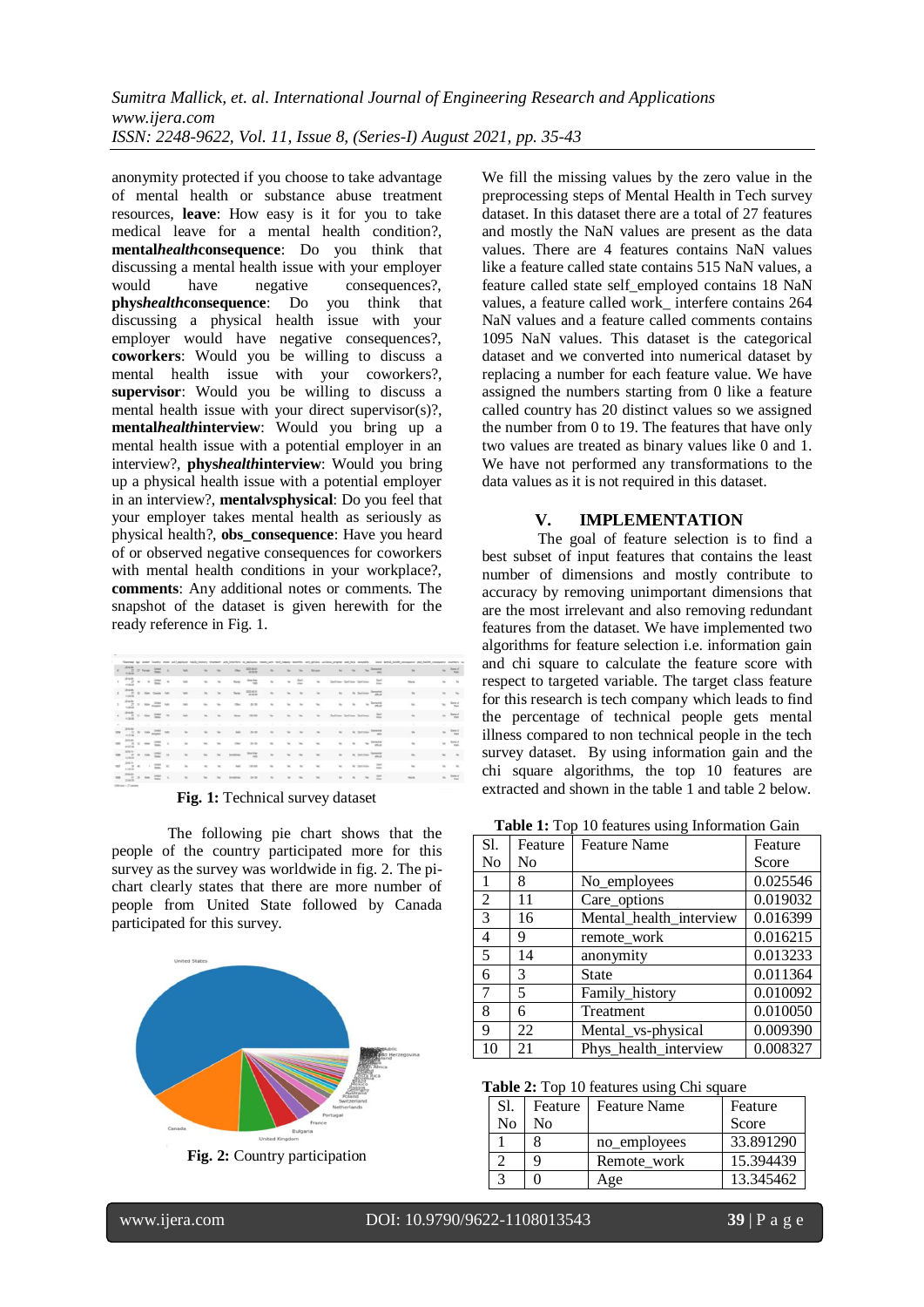anonymity protected if you choose to take advantage of mental health or substance abuse treatment resources, **leave**: How easy is it for you to take medical leave for a mental health condition?, **mental***health***consequence**: Do you think that discussing a mental health issue with your employer would have negative consequences? **phys***health***consequence**: Do you think that discussing a physical health issue with your employer would have negative consequences?, **coworkers**: Would you be willing to discuss a mental health issue with your coworkers?, **supervisor**: Would you be willing to discuss a mental health issue with your direct supervisor(s)?, **mental***health***interview**: Would you bring up a mental health issue with a potential employer in an interview?, **phys***health***interview**: Would you bring up a physical health issue with a potential employer in an interview?, **mental***vs***physical**: Do you feel that your employer takes mental health as seriously as physical health?, **obs\_consequence**: Have you heard of or observed negative consequences for coworkers with mental health conditions in your workplace?, **comments**: Any additional notes or comments. The snapshot of the dataset is given herewith for the ready reference in Fig. 1.

|                | <b>JESSIE</b>                                                                                                                                                                                                                     |  |                         |               |                          |                |         |                 |                  |                |         |                          |                |                         |            |             |            |                    |                |        |                                  |
|----------------|-----------------------------------------------------------------------------------------------------------------------------------------------------------------------------------------------------------------------------------|--|-------------------------|---------------|--------------------------|----------------|---------|-----------------|------------------|----------------|---------|--------------------------|----------------|-------------------------|------------|-------------|------------|--------------------|----------------|--------|----------------------------------|
|                | <b>THE ST FIRE</b>                                                                                                                                                                                                                |  |                         |               | $^{16}$                  |                | $\sim$  | $\sim$          | 70.60            | $\sim$         | $\sim$  | $\rightarrow$            | <b>RESH</b>    | $\sim$                  |            |             |            |                    | $\rightarrow$  | $\sim$ | Sara d'<br><b>Chat</b>           |
|                | $\frac{1}{2}$ = $\frac{1}{2}$                                                                                                                                                                                                     |  |                         | $\sim$        | $^{12}$                  | $\sim$         | $\sim$  | <b>Harsty</b>   | $\frac{m+2m}{m}$ | $\approx$      | $\sim$  | $\approx$                | $\approx$      | Detires Detires Detires |            |             |            | $\equiv$           | Stave          | $\sim$ | $-24$                            |
|                | $\frac{\partial \mathcal{H} \Theta}{\partial t} \cdot \Sigma = \mathcal{H} \Theta \quad \text{for} \quad \mathcal{H} \Theta$                                                                                                      |  |                         |               | <b>New</b>               | w              | $\sim$  | Just            | 2044             | $\sim$         | $^{**}$ | $\overline{\phantom{a}}$ | $\sim$         |                         | to:        |             |            | to factory firming | $\sim$         | $\sim$ | <b>CONTRACTOR</b>                |
| $\mathbb{R}^+$ | $\frac{\partial^2 \mathbf{u}}{\partial x^2} = -\mathbf{u} \cdot \frac{\partial \mathbf{u}}{\partial x^2} = 0$                                                                                                                     |  |                         |               | $^{12}$                  | $\sim$         | $\sim$  | <b>The</b>      | 25 cm            | $\sim$         | $\sim$  | $\sim$                   | $\sim$         | $\sim$                  | $^{16}$    |             |            | to Tenant          | ÷              | $\sim$ | Satural of<br>$\sim$             |
|                | $\begin{array}{c} \bullet \quad \stackrel{\text{even}}{\longrightarrow} \hspace{1mm} \circ \quad \text{in} \quad \stackrel{\text{even}}{\longrightarrow} \hspace{1mm} \end{array}$                                                |  |                         |               | <b>MAR</b>               | $\overline{a}$ | 1.786   | Texas           | 195,535          | $\rightarrow$  | This    | w.                       | $\sim$         |                         |            |             |            |                    | $\sim$         |        | $u = \frac{2\pi \pi d}{4m}$      |
|                |                                                                                                                                                                                                                                   |  |                         |               |                          |                |         |                 |                  |                |         |                          |                |                         |            |             |            |                    |                |        |                                  |
|                | 2016-06<br>$-2$                                                                                                                                                                                                                   |  | $2.70 \frac{300}{1000}$ | <b>Set</b>    | $\sim$                   | ۰              | ÷       | <b>W</b>        | 3-title          | $\overline{a}$ | $\sim$  | ×                        | $\overline{a}$ | $\sim$                  |            | to factory. |            | <b>beads</b>       | $\mathbf{u}_0$ |        | $n = \frac{2mn\pi}{mn}$          |
|                | $-7.1 - 1$                                                                                                                                                                                                                        |  |                         | $\sim$        | $_{\rm{fit}}$            | $\sim$         | $\sim$  | Diet            | 24.08            | $\sim$         | $^{**}$ | Chair                    | $\sim$         | $\omega$                |            |             |            | to be firmed       | $\sim$         |        | $\approx -\frac{\log x}{\log x}$ |
|                | $\frac{1}{\sqrt{2}}\sum_{i=1}^{n-1} \frac{1}{\sqrt{2}}\left\{ \begin{array}{cc} \frac{1}{\sqrt{2}} & \frac{1}{\sqrt{2}} & \frac{1}{\sqrt{2}} \\ \frac{1}{\sqrt{2}} & \frac{1}{\sqrt{2}} & \frac{1}{\sqrt{2}} \end{array} \right.$ |  |                         |               | $\sim$                   | $\sim$         | $\sim$  | <b>System</b>   | meter            | $\mathcal{L}$  | $\sim$  | $-10$                    | $\sim$         | $\sim$                  |            | to Detroit  |            | forestal           | $\sim$         | The .  | $-1.56$                          |
|                | $\omega$ $\rightarrow$ $\approx$ $\sim$ $\frac{\omega v}{\omega}$<br>2120.00                                                                                                                                                      |  |                         | $\sim$        | $\overline{\phantom{a}}$ | v.             | $^{36}$ | <b>SHI</b>      | 10.00            | $\sim$         | $^{**}$ | <b>1999</b>              | $\sim$         | $\sim$                  |            | he listings |            | $\approx$          | $\sim$         | $\sim$ | $-$                              |
|                | men<br><b>CLARM</b>                                                                                                                                                                                                               |  |                         | $\mathcal{R}$ | $\sim$                   | $\sim$         | $\sim$  | <b>Syndical</b> | $3-28$           | $\mathcal{L}$  | $\sim$  | $\overline{\phantom{a}}$ | $\sim$         | $\sim$                  | <b>Sec</b> |             | <b>The</b> |                    | <b>Night</b>   |        | $u$ $\frac{3mT}{4m}$             |

**Fig. 1:** Technical survey dataset

The following pie chart shows that the people of the country participated more for this survey as the survey was worldwide in fig. 2. The pichart clearly states that there are more number of people from United State followed by Canada participated for this survey.



**Fig. 2:** Country participation

We fill the missing values by the zero value in the preprocessing steps of Mental Health in Tech survey dataset. In this dataset there are a total of 27 features and mostly the NaN values are present as the data values. There are 4 features contains NaN values like a feature called state contains 515 NaN values, a feature called state self\_employed contains 18 NaN values, a feature called work\_ interfere contains 264 NaN values and a feature called comments contains 1095 NaN values. This dataset is the categorical dataset and we converted into numerical dataset by replacing a number for each feature value. We have assigned the numbers starting from 0 like a feature called country has 20 distinct values so we assigned the number from 0 to 19. The features that have only two values are treated as binary values like 0 and 1. We have not performed any transformations to the data values as it is not required in this dataset.

## **V. IMPLEMENTATION**

The goal of feature selection is to find a best subset of input features that contains the least number of dimensions and mostly contribute to accuracy by removing unimportant dimensions that are the most irrelevant and also removing redundant features from the dataset. We have implemented two algorithms for feature selection i.e. information gain and chi square to calculate the feature score with respect to targeted variable. The target class feature for this research is tech company which leads to find the percentage of technical people gets mental illness compared to non technical people in the tech survey dataset. By using information gain and the chi square algorithms, the top 10 features are extracted and shown in the table 1 and table 2 below.

**Table 1:** Top 10 features using Information Gain

| Sl. | Feature | <b>Feature Name</b>     | Feature  |
|-----|---------|-------------------------|----------|
| No  | No      |                         | Score    |
| 1   | 8       | No_employees            | 0.025546 |
| 2   | 11      | Care_options            | 0.019032 |
| 3   | 16      | Mental health interview | 0.016399 |
| 4   | 9       | remote_work             | 0.016215 |
| 5   | 14      | anonymity               | 0.013233 |
| 6   | 3       | <b>State</b>            | 0.011364 |
| 7   | 5       | Family_history          | 0.010092 |
| 8   | 6       | Treatment               | 0.010050 |
| 9   | 22      | Mental_vs-physical      | 0.009390 |
| 10  | 21      | Phys_health_interview   | 0.008327 |

**Table 2:** Top 10 features using Chi square

| Sl.            | Feature | <b>Feature Name</b> | Feature   |
|----------------|---------|---------------------|-----------|
| N <sub>0</sub> | Nο      |                     | Score     |
|                |         | no_employees        | 33.891290 |
|                | q       | Remote work         | 15.394439 |
|                |         | Age                 | 13.345462 |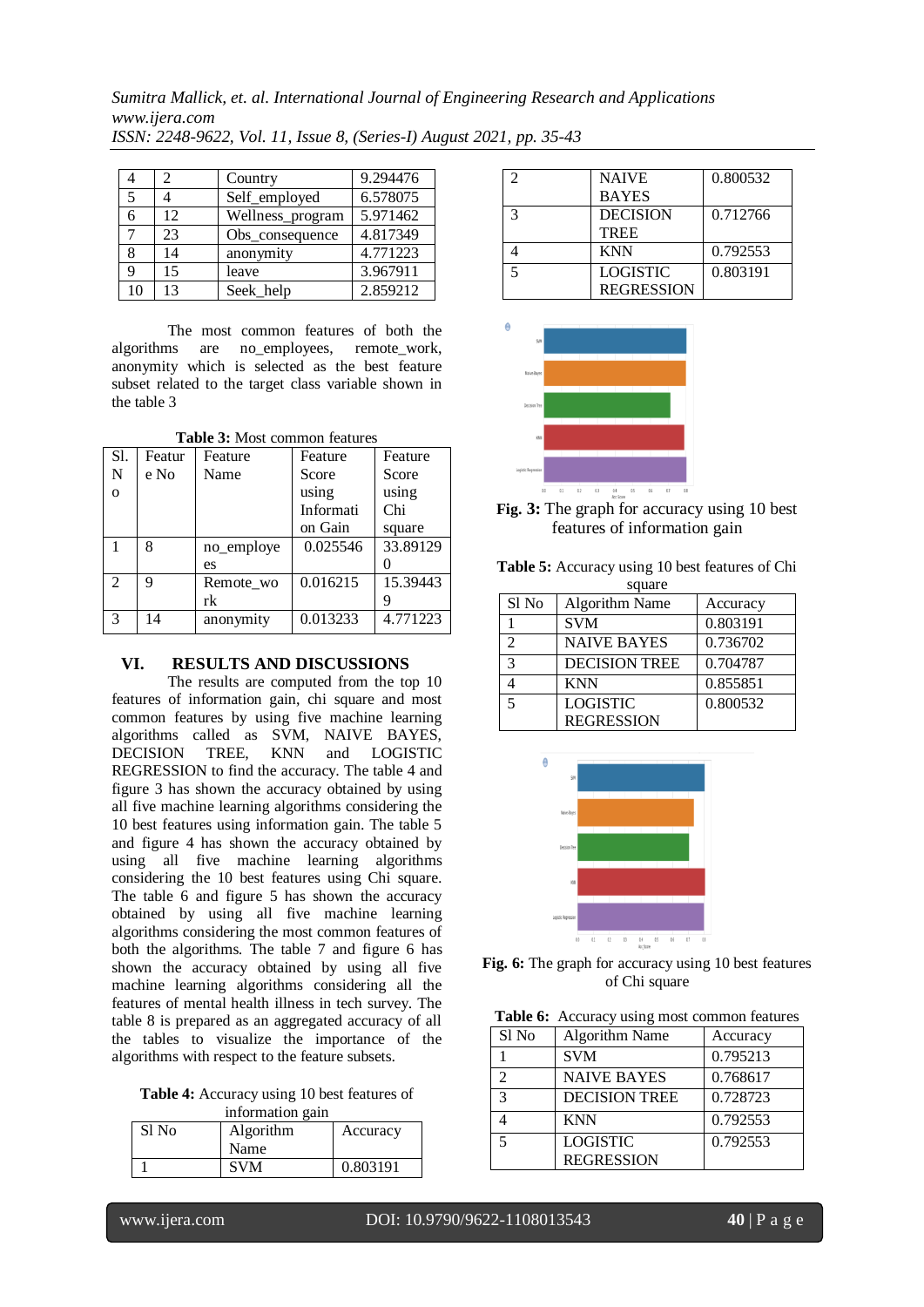*Sumitra Mallick, et. al. International Journal of Engineering Research and Applications www.ijera.com ISSN: 2248-9622, Vol. 11, Issue 8, (Series-I) August 2021, pp. 35-43*

|    | 2  | Country          | 9.294476 |
|----|----|------------------|----------|
| 5  |    | Self_employed    | 6.578075 |
| 6  | 12 | Wellness_program | 5.971462 |
|    | 23 | Obs_consequence  | 4.817349 |
| 8  | 14 | anonymity        | 4.771223 |
| Q  | 15 | leave            | 3.967911 |
| 10 | 13 | Seek_help        | 2.859212 |

The most common features of both the algorithms are no\_employees, remote\_work, anonymity which is selected as the best feature subset related to the target class variable shown in the table 3

|              | <b>Table 5:</b> MOSt common reatures |            |           |          |  |  |  |  |
|--------------|--------------------------------------|------------|-----------|----------|--|--|--|--|
| Sl.          | Featur                               | Feature    | Feature   | Feature  |  |  |  |  |
| N            | e No                                 | Name       | Score     | Score    |  |  |  |  |
| $\mathbf{O}$ |                                      |            | using     | using    |  |  |  |  |
|              |                                      |            | Informati | Chi      |  |  |  |  |
|              |                                      |            | on Gain   | square   |  |  |  |  |
| 1            | 8                                    | no employe | 0.025546  | 33.89129 |  |  |  |  |
|              |                                      | es         |           |          |  |  |  |  |
| 2            | 9                                    | Remote wo  | 0.016215  | 15.39443 |  |  |  |  |
|              |                                      | rk         |           |          |  |  |  |  |
| 3            | 14                                   | anonymity  | 0.013233  | 4.771223 |  |  |  |  |

**Table 3:** Most common features

## **VI. RESULTS AND DISCUSSIONS**

The results are computed from the top 10 features of information gain, chi square and most common features by using five machine learning algorithms called as SVM, NAIVE BAYES, DECISION TREE, KNN and LOGISTIC REGRESSION to find the accuracy. The table 4 and figure 3 has shown the accuracy obtained by using all five machine learning algorithms considering the 10 best features using information gain. The table 5 and figure 4 has shown the accuracy obtained by using all five machine learning algorithms considering the 10 best features using Chi square. The table 6 and figure 5 has shown the accuracy obtained by using all five machine learning algorithms considering the most common features of both the algorithms. The table 7 and figure 6 has shown the accuracy obtained by using all five machine learning algorithms considering all the features of mental health illness in tech survey. The table 8 is prepared as an aggregated accuracy of all the tables to visualize the importance of the algorithms with respect to the feature subsets.

**Table 4:** Accuracy using 10 best features of information gain

| Sl No | Algorithm  | Accuracy |
|-------|------------|----------|
|       | Name       |          |
|       | <b>SVM</b> | 0.803191 |

| 7 | <b>NAIVE</b>      | 0.800532 |
|---|-------------------|----------|
|   | <b>BAYES</b>      |          |
| 3 | <b>DECISION</b>   | 0.712766 |
|   | <b>TREE</b>       |          |
|   | <b>KNN</b>        | 0.792553 |
| 5 | <b>LOGISTIC</b>   | 0.803191 |
|   | <b>REGRESSION</b> |          |



**Fig. 3:** The graph for accuracy using 10 best features of information gain

**Table 5:** Accuracy using 10 best features of Chi square

|               | oquuc                 |          |
|---------------|-----------------------|----------|
| Sl No         | <b>Algorithm Name</b> | Accuracy |
|               | <b>SVM</b>            | 0.803191 |
| $\mathcal{D}$ | <b>NAIVE BAYES</b>    | 0.736702 |
| $\mathbf 3$   | <b>DECISION TREE</b>  | 0.704787 |
|               | <b>KNN</b>            | 0.855851 |
|               | <b>LOGISTIC</b>       | 0.800532 |
|               | <b>REGRESSION</b>     |          |



**Fig. 6:** The graph for accuracy using 10 best features of Chi square

| Table 6: Accuracy using most common features |  |
|----------------------------------------------|--|
|----------------------------------------------|--|

| Sl No                   | <b>Algorithm Name</b> | Accuracy |
|-------------------------|-----------------------|----------|
|                         | <b>SVM</b>            | 0.795213 |
|                         | <b>NAIVE BAYES</b>    | 0.768617 |
| $\mathbf{\overline{3}}$ | <b>DECISION TREE</b>  | 0.728723 |
|                         | <b>KNN</b>            | 0.792553 |
|                         | <b>LOGISTIC</b>       | 0.792553 |
|                         | <b>REGRESSION</b>     |          |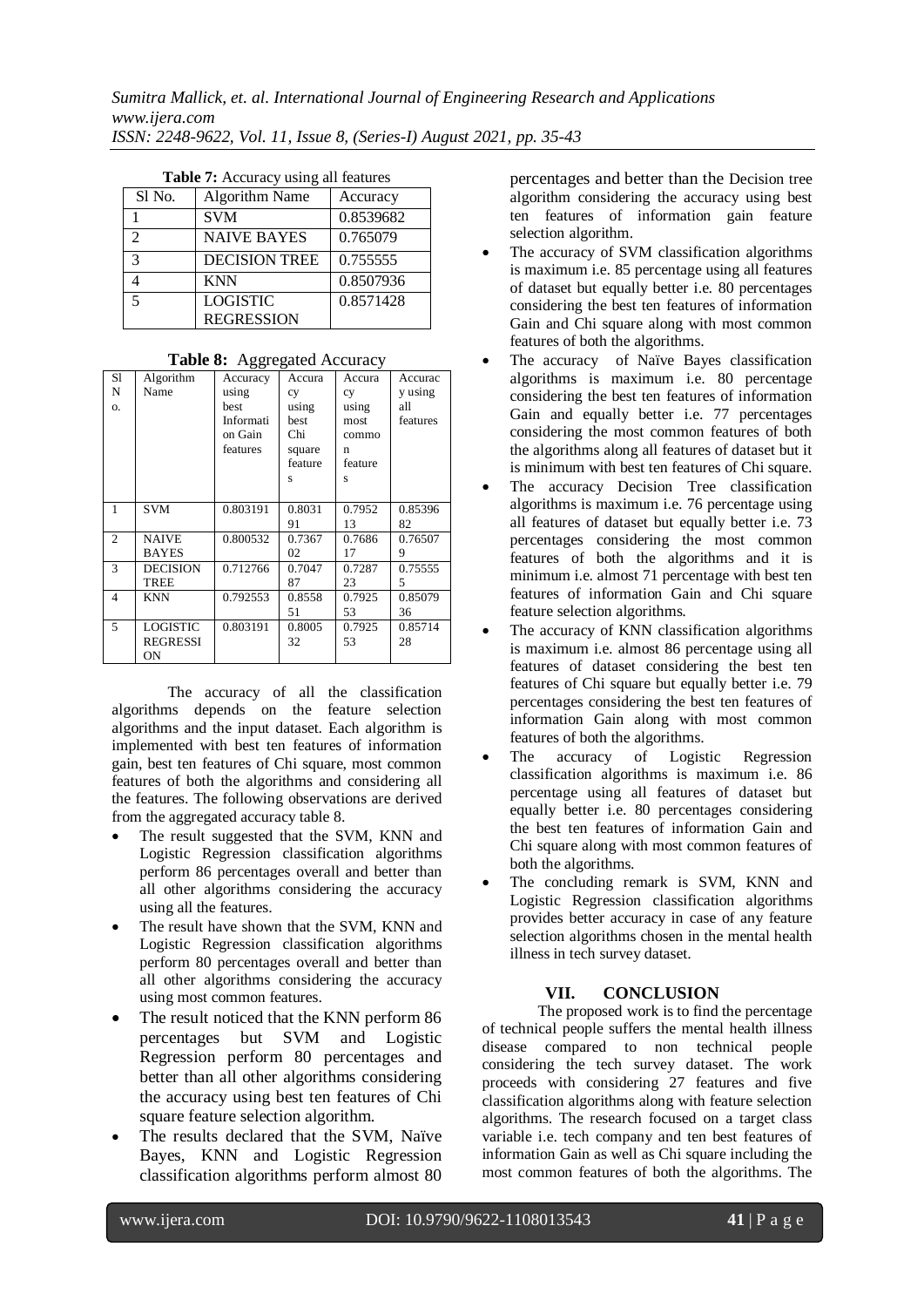| Sl No. | <b>Algorithm Name</b> | Accuracy  |
|--------|-----------------------|-----------|
|        | <b>SVM</b>            | 0.8539682 |
| 2      | <b>NAIVE BAYES</b>    | 0.765079  |
| 3      | <b>DECISION TREE</b>  | 0.755555  |
|        | <b>KNN</b>            | 0.8507936 |
| 5      | <b>LOGISTIC</b>       | 0.8571428 |
|        | <b>REGRESSION</b>     |           |

| Table 7: Accuracy using all features |  |  |  |  |
|--------------------------------------|--|--|--|--|
|--------------------------------------|--|--|--|--|

#### **Table 8:** Aggregated Accuracy

| S1             | Algorithm       | Accuracy  | Accura  | Accura  | Accurac  |
|----------------|-----------------|-----------|---------|---------|----------|
| N              | Name            | using     | cy      | cy      | y using  |
| Ο.             |                 | best      | using   | using   | all      |
|                |                 | Informati | best    | most    | features |
|                |                 | on Gain   | Chi     | commo   |          |
|                |                 | features  | square  | n       |          |
|                |                 |           | feature | feature |          |
|                |                 |           | S       | s       |          |
|                |                 |           |         |         |          |
| 1              | <b>SVM</b>      | 0.803191  | 0.8031  | 0.7952  | 0.85396  |
|                |                 |           | 91      | 13      | 82       |
| $\overline{2}$ | <b>NAIVE</b>    | 0.800532  | 0.7367  | 0.7686  | 0.76507  |
|                | <b>BAYES</b>    |           | 02      | 17      | 9        |
| 3              | <b>DECISION</b> | 0.712766  | 0.7047  | 0.7287  | 0.75555  |
|                | TREE            |           | 87      | 23      | 5        |
| $\overline{4}$ | <b>KNN</b>      | 0.792553  | 0.8558  | 0.7925  | 0.85079  |
|                |                 |           | 51      | 53      | 36       |
| 5              | <b>LOGISTIC</b> | 0.803191  | 0.8005  | 0.7925  | 0.85714  |
|                | <b>REGRESSI</b> |           | 32      | 53      | 28       |
|                | ON              |           |         |         |          |

The accuracy of all the classification algorithms depends on the feature selection algorithms and the input dataset. Each algorithm is implemented with best ten features of information gain, best ten features of Chi square, most common features of both the algorithms and considering all the features. The following observations are derived from the aggregated accuracy table 8.

- The result suggested that the SVM, KNN and Logistic Regression classification algorithms perform 86 percentages overall and better than all other algorithms considering the accuracy using all the features.
- The result have shown that the SVM, KNN and Logistic Regression classification algorithms perform 80 percentages overall and better than all other algorithms considering the accuracy using most common features.
- The result noticed that the KNN perform 86 percentages but SVM and Logistic Regression perform 80 percentages and better than all other algorithms considering the accuracy using best ten features of Chi square feature selection algorithm.
- The results declared that the SVM, Naïve Bayes, KNN and Logistic Regression classification algorithms perform almost 80

percentages and better than the Decision tree algorithm considering the accuracy using best ten features of information gain feature selection algorithm.

- The accuracy of SVM classification algorithms is maximum i.e. 85 percentage using all features of dataset but equally better i.e. 80 percentages considering the best ten features of information Gain and Chi square along with most common features of both the algorithms.
- The accuracy of Naïve Bayes classification algorithms is maximum i.e. 80 percentage considering the best ten features of information Gain and equally better i.e. 77 percentages considering the most common features of both the algorithms along all features of dataset but it is minimum with best ten features of Chi square.
- The accuracy Decision Tree classification algorithms is maximum i.e. 76 percentage using all features of dataset but equally better i.e. 73 percentages considering the most common features of both the algorithms and it is minimum i.e. almost 71 percentage with best ten features of information Gain and Chi square feature selection algorithms.
- The accuracy of KNN classification algorithms is maximum i.e. almost 86 percentage using all features of dataset considering the best ten features of Chi square but equally better i.e. 79 percentages considering the best ten features of information Gain along with most common features of both the algorithms.
- The accuracy of Logistic Regression classification algorithms is maximum i.e. 86 percentage using all features of dataset but equally better i.e. 80 percentages considering the best ten features of information Gain and Chi square along with most common features of both the algorithms.
- The concluding remark is SVM, KNN and Logistic Regression classification algorithms provides better accuracy in case of any feature selection algorithms chosen in the mental health illness in tech survey dataset.

# **VII. CONCLUSION**

The proposed work is to find the percentage of technical people suffers the mental health illness disease compared to non technical people considering the tech survey dataset. The work proceeds with considering 27 features and five classification algorithms along with feature selection algorithms. The research focused on a target class variable i.e. tech company and ten best features of information Gain as well as Chi square including the most common features of both the algorithms. The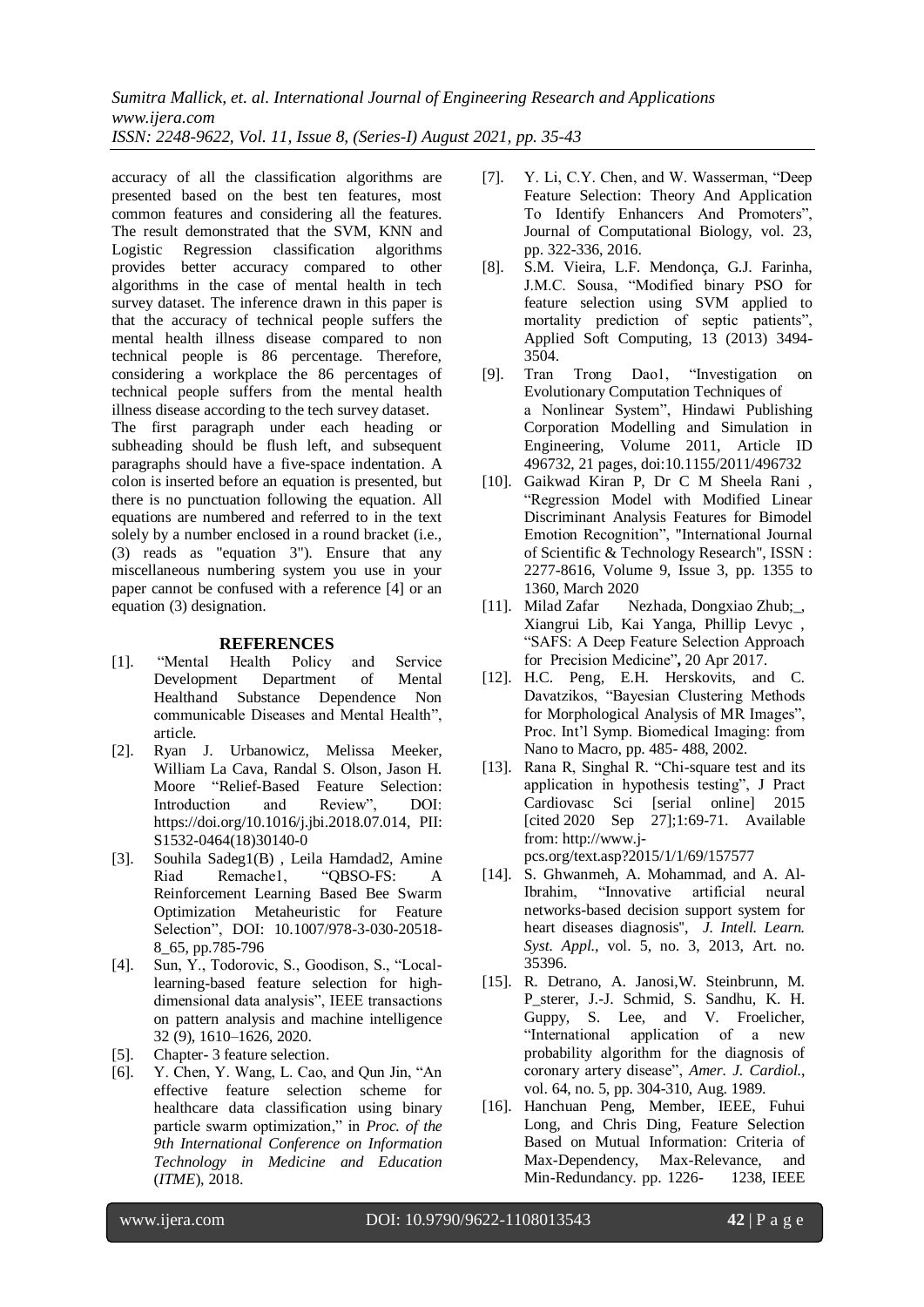*Sumitra Mallick, et. al. International Journal of Engineering Research and Applications www.ijera.com ISSN: 2248-9622, Vol. 11, Issue 8, (Series-I) August 2021, pp. 35-43*

accuracy of all the classification algorithms are presented based on the best ten features, most common features and considering all the features. The result demonstrated that the SVM, KNN and Logistic Regression classification algorithms provides better accuracy compared to other algorithms in the case of mental health in tech survey dataset. The inference drawn in this paper is that the accuracy of technical people suffers the mental health illness disease compared to non technical people is 86 percentage. Therefore, considering a workplace the 86 percentages of technical people suffers from the mental health illness disease according to the tech survey dataset.

The first paragraph under each heading or subheading should be flush left, and subsequent paragraphs should have a five-space indentation. A colon is inserted before an equation is presented, but there is no punctuation following the equation. All equations are numbered and referred to in the text solely by a number enclosed in a round bracket (i.e., (3) reads as "equation 3"). Ensure that any miscellaneous numbering system you use in your paper cannot be confused with a reference [4] or an equation (3) designation.

#### **REFERENCES**

- [1]. "Mental Health Policy and Service Development Department of Mental Healthand Substance Dependence Non communicable Diseases and Mental Health", article.
- [2]. Ryan J. Urbanowicz, Melissa Meeker, William La Cava, Randal S. Olson, Jason H. Moore "Relief-Based Feature Selection: Introduction and Review", DOI: [https://doi.org/10.1016/j.jbi.2018.07.014,](https://doi.org/10.1016/j.jbi.2018.07.014) PII: S1532-0464(18)30140-0
- [3]. Souhila Sadeg1(B) , Leila Hamdad2, Amine Riad Remache1, "QBSO-FS: A Reinforcement Learning Based Bee Swarm Optimization Metaheuristic for Feature Selection", DOI: [10.1007/978-3-030-20518-](https://www.researchgate.net/deref/http%3A%2F%2Fdx.doi.org%2F10.1007%2F978-3-030-20518-8_65) [8\\_65,](https://www.researchgate.net/deref/http%3A%2F%2Fdx.doi.org%2F10.1007%2F978-3-030-20518-8_65) pp.785-796
- [4]. Sun, Y., Todorovic, S., Goodison, S., "Locallearning-based feature selection for highdimensional data analysis", IEEE transactions on pattern analysis and machine intelligence 32 (9), 1610–1626, 2020.
- [5]. Chapter- 3 feature selection.
- [6]. Y. Chen, Y. Wang, L. Cao, and Qun Jin, "An effective feature selection scheme for healthcare data classification using binary particle swarm optimization," in *Proc. of the 9th International Conference on Information Technology in Medicine and Education* (*ITME*), 2018.
- [7]. Y. Li, C.Y. Chen, and W. Wasserman, "Deep Feature Selection: Theory And Application To Identify Enhancers And Promoters", Journal of Computational Biology, vol. 23, pp. 322-336, 2016.
- [8]. S.M. Vieira, L.F. Mendonça, G.J. Farinha, J.M.C. Sousa, "Modified binary PSO for feature selection using SVM applied to mortality prediction of septic patients", Applied Soft Computing, 13 (2013) 3494- 3504.
- [9]. Tran Trong Dao1, "Investigation on Evolutionary Computation Techniques of a Nonlinear System", Hindawi Publishing Corporation Modelling and Simulation in Engineering, Volume 2011, Article ID 496732, 21 pages, doi:10.1155/2011/496732
- [10]. Gaikwad Kiran P, Dr C M Sheela Rani , "Regression Model with Modified Linear Discriminant Analysis Features for Bimodel Emotion Recognition", "International Journal of Scientific & Technology Research", ISSN : 2277-8616, Volume 9, Issue 3, pp. 1355 to 1360, March 2020
- [11]. Milad Zafar Nezhada, Dongxiao Zhub;, Xiangrui Lib, Kai Yanga, Phillip Levyc , "SAFS: A Deep Feature Selection Approach forPrecision Medicine"**,** 20 Apr 2017.
- [12]. H.C. Peng, E.H. Herskovits, and C. Davatzikos, "Bayesian Clustering Methods for Morphological Analysis of MR Images", Proc. Int'l Symp. Biomedical Imaging: from Nano to Macro, pp. 485- 488, 2002.
- [13]. Rana R. Singhal R. "Chi-square test and its application in hypothesis testing", J Pract Cardiovasc Sci [serial online] 2015 [cited 2020 Sep 27];1:69-71. Available from: [http://www.j](http://www.j-pcs.org/text.asp?2015/1/1/69/157577)[pcs.org/text.asp?2015/1/1/69/157577](http://www.j-pcs.org/text.asp?2015/1/1/69/157577)
- [14]. S. Ghwanmeh, A. Mohammad, and A. Al-Ibrahim, "Innovative artificial neural networks-based decision support system for heart diseases diagnosis'', *J. Intell. Learn. Syst. Appl.*, vol. 5, no. 3, 2013, Art. no. 35396.
- [15]. R. Detrano, A. Janosi,W. Steinbrunn, M. P\_sterer, J.-J. Schmid, S. Sandhu, K. H. Guppy, S. Lee, and V. Froelicher, "International application of a new probability algorithm for the diagnosis of coronary artery disease", *Amer. J. Cardiol.*, vol. 64, no. 5, pp. 304-310, Aug. 1989.
- [16]. Hanchuan Peng, Member, IEEE, Fuhui Long, and Chris Ding, Feature Selection Based on Mutual Information: Criteria of Max-Dependency, Max-Relevance, and Min-Redundancy. pp. 1226-<br>1238, IEEE